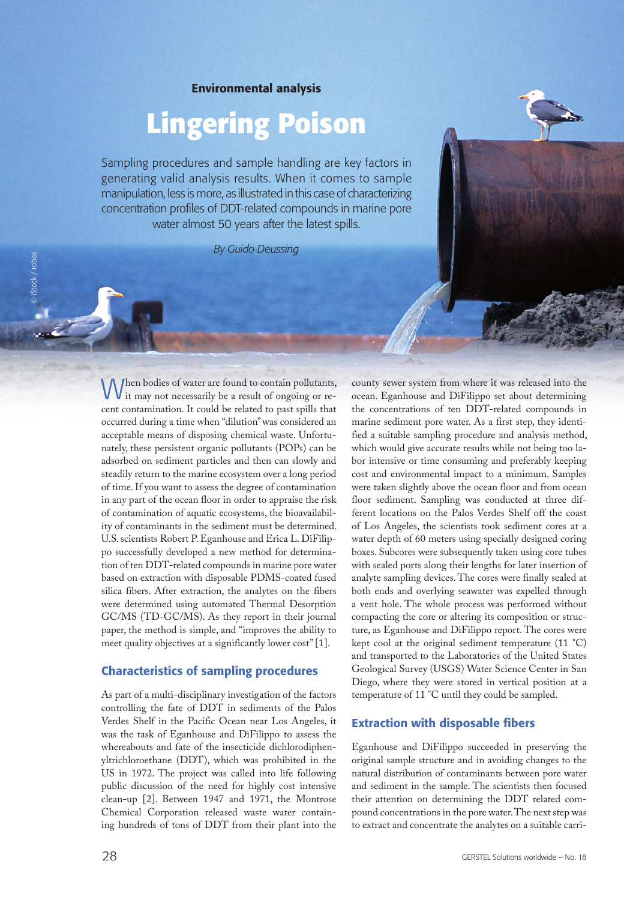Environmental analysis

# **Lingering Poison**

Sampling procedures and sample handling are key factors in generating valid analysis results. When it comes to sample manipulation, less is more, as illustrated in this case of characterizing concentration profiles of DDT-related compounds in marine pore water almost 50 years after the latest spills.

*By Guido Deussing*

When bodies of water are found to contain pollutants,  $\bf{V}$  it may not necessarily be a result of ongoing or recent contamination. It could be related to past spills that occurred during a time when "dilution" was considered an acceptable means of disposing chemical waste. Unfortunately, these persistent organic pollutants (POPs) can be adsorbed on sediment particles and then can slowly and steadily return to the marine ecosystem over a long period of time. If you want to assess the degree of contamination in any part of the ocean floor in order to appraise the risk of contamination of aquatic ecosystems, the bioavailability of contaminants in the sediment must be determined. U.S. scientists Robert P. Eganhouse and Erica L. DiFilippo successfully developed a new method for determination of ten DDT-related compounds in marine pore water based on extraction with disposable PDMS-coated fused silica fibers. After extraction, the analytes on the fibers were determined using automated Thermal Desorption GC/MS (TD-GC/MS). As they report in their journal paper, the method is simple, and "improves the ability to meet quality objectives at a significantly lower cost" [1].

# Characteristics of sampling procedures

As part of a multi-disciplinary investigation of the factors controlling the fate of DDT in sediments of the Palos Verdes Shelf in the Pacific Ocean near Los Angeles, it was the task of Eganhouse and DiFilippo to assess the whereabouts and fate of the insecticide dichlorodiphenyltrichloroethane (DDT), which was prohibited in the US in 1972. The project was called into life following public discussion of the need for highly cost intensive clean-up [2]. Between 1947 and 1971, the Montrose Chemical Corporation released waste water containing hundreds of tons of DDT from their plant into the

county sewer system from where it was released into the ocean. Eganhouse and DiFilippo set about determining the concentrations of ten DDT-related compounds in marine sediment pore water. As a first step, they identified a suitable sampling procedure and analysis method, which would give accurate results while not being too labor intensive or time consuming and preferably keeping cost and environmental impact to a minimum. Samples were taken slightly above the ocean floor and from ocean floor sediment. Sampling was conducted at three different locations on the Palos Verdes Shelf off the coast of Los Angeles, the scientists took sediment cores at a water depth of 60 meters using specially designed coring boxes. Subcores were subsequently taken using core tubes with sealed ports along their lengths for later insertion of analyte sampling devices. The cores were finally sealed at both ends and overlying seawater was expelled through a vent hole. The whole process was performed without compacting the core or altering its composition or structure, as Eganhouse and DiFilippo report. The cores were kept cool at the original sediment temperature (11 °C) and transported to the Laboratories of the United States Geological Survey (USGS) Water Science Center in San Diego, where they were stored in vertical position at a temperature of 11 °C until they could be sampled.

#### Extraction with disposable fibers

Eganhouse and DiFilippo succeeded in preserving the original sample structure and in avoiding changes to the natural distribution of contaminants between pore water and sediment in the sample. The scientists then focused their attention on determining the DDT related compound concentrations in the pore water. The next step was to extract and concentrate the analytes on a suitable carri